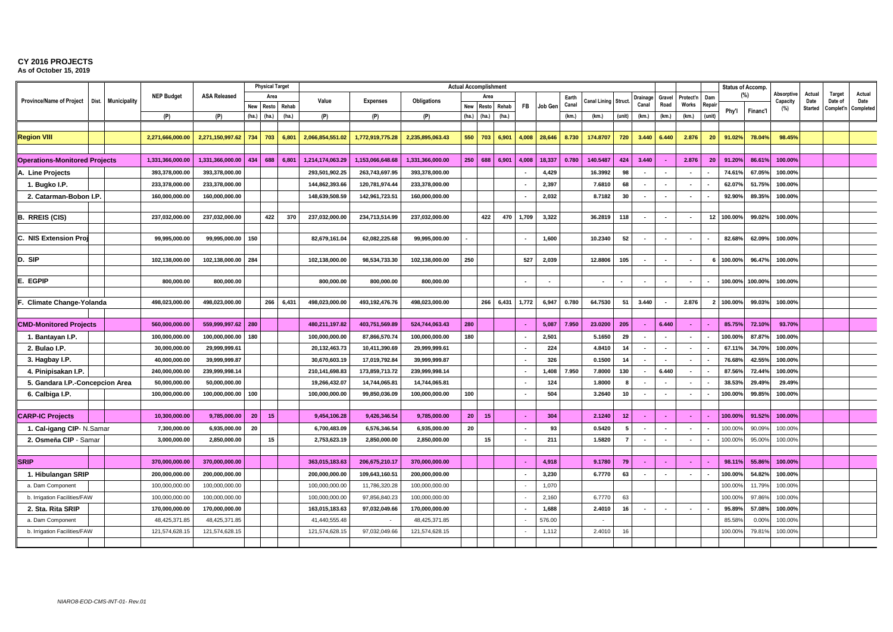**As of October 15, 2019** T/E U/F W/G

|                                                   |       |                     |                   |                     | <b>Physical Target</b> |       |       | <b>Actual Accomplishment</b> |                          |                  |                 |           |       |                |         |       |                     |                 |                          |                          |                          | <b>Status of Accomp.</b> |         |          |                        |                |                   |                |
|---------------------------------------------------|-------|---------------------|-------------------|---------------------|------------------------|-------|-------|------------------------------|--------------------------|------------------|-----------------|-----------|-------|----------------|---------|-------|---------------------|-----------------|--------------------------|--------------------------|--------------------------|--------------------------|---------|----------|------------------------|----------------|-------------------|----------------|
| <b>Province/Name of Project</b>                   | Dist. | <b>Municipality</b> | <b>NEP Budget</b> | <b>ASA Released</b> |                        | Area  |       | Value                        | <b>Expenses</b>          | Obligations      |                 | Area      |       |                |         | Earth | Canal Lining Struct |                 | Drainage                 | Gravel                   | Protect'n                | Dam                      |         | $(\%)$   | Absorptive<br>Capacity | Actual<br>Date | Target<br>Date of | Actual<br>Date |
|                                                   |       |                     |                   |                     | New                    | Resto | Rehab |                              |                          |                  |                 | New Resto | Rehab | <b>FB</b>      | Job Gen | Canal |                     |                 | Canal                    | Road                     | Works                    | Repair                   | Phy'l   | Financ'l | (%)                    | <b>Started</b> | Complet'n         | Completed      |
|                                                   |       |                     | (P)               | (P)                 | (ha)                   | (ha.) | (ha.) | (P)                          | (P)                      | (P)              | (ha.)           | (ha.)     | (ha)  |                |         | (km)  | (km.)               | (unit)          | (km.)                    | (km)                     | (km.)                    | (unit)                   |         |          |                        |                |                   |                |
|                                                   |       |                     |                   |                     |                        |       |       |                              |                          |                  |                 |           |       |                |         |       |                     |                 |                          |                          |                          |                          |         |          |                        |                |                   |                |
| <b>Region VIII</b>                                |       |                     | 2,271,666,000.00  | 2,271,150,997.62    | 734                    | 703   | 6,801 | 2,066,854,551.02             | 1,772,919,775.28         | 2,235,895,063.43 | 550             | 703       | 6,901 | 4,008          | 28,646  | 8.730 | 174.8707            | 720             | 3.440                    | 6.440                    | 2.876                    | 20                       | 91.02%  | 78.04%   | 98.45%                 |                |                   |                |
|                                                   |       |                     |                   |                     |                        |       |       |                              |                          |                  |                 |           |       |                |         |       |                     |                 |                          |                          |                          |                          |         |          |                        |                |                   |                |
| <b>Operations-Monitored Projects</b>              |       |                     | 1,331,366,000.00  | 1,331,366,000.00    | 434                    | 688   | 6,801 | 1,214,174,063.29             | 1,153,066,648.68         | 1,331,366,000.00 | 250             | 688       | 6,901 | 4,008          | 18,337  | 0.780 | 140.5487            | 424             | 3.440                    | $\sim$                   | 2.876                    | 20                       | 91.20%  | 86.61%   | 100.00%                |                |                   |                |
| A. Line Projects                                  |       |                     | 393,378,000.00    | 393,378,000.00      |                        |       |       | 293,501,902.25               | 263,743,697.95           | 393,378,000.00   |                 |           |       |                | 4,429   |       | 16.3992             | 98              |                          |                          |                          |                          | 74.61%  | 67.05%   | 100.00%                |                |                   |                |
| 1. Bugko I.P.                                     |       |                     | 233,378,000.00    | 233,378,000.00      |                        |       |       | 144,862,393.66               | 120,781,974.44           | 233,378,000.00   |                 |           |       |                | 2,397   |       | 7.6810              | 68              | $\sim$                   | $\sim$                   | $\sim$                   |                          | 62.07%  | 51.75%   | 100.00%                |                |                   |                |
| 2. Catarman-Bobon I.P.                            |       |                     | 160,000,000.00    | 160,000,000.00      |                        |       |       | 148,639,508.59               | 142,961,723.51           | 160,000,000.00   |                 |           |       | $\sim$         | 2,032   |       | 8.7182              | 30              | $\overline{\phantom{a}}$ | $\sim$                   | $\sim$                   |                          | 92.90%  | 89.35%   | 100.00%                |                |                   |                |
|                                                   |       |                     |                   |                     |                        |       |       |                              |                          |                  |                 |           |       |                |         |       |                     |                 |                          |                          |                          |                          |         |          |                        |                |                   |                |
| <b>B. RREIS (CIS)</b>                             |       |                     | 237,032,000.00    | 237,032,000.00      |                        | 422   | 370   | 237,032,000.00               | 234,713,514.99           | 237,032,000.00   |                 | 422       | 470   | 1,709          | 3,322   |       | 36.2819             | 118             |                          | $\sim$                   | $\blacksquare$           | 12                       | 100.00% | 99.02%   | 100.00%                |                |                   |                |
|                                                   |       |                     |                   |                     |                        |       |       |                              |                          |                  |                 |           |       |                |         |       |                     |                 |                          |                          |                          |                          |         |          |                        |                |                   |                |
| C. NIS Extension Pro                              |       |                     | 99,995,000.00     | 99,995,000.00 150   |                        |       |       | 82,679,161.04                | 62,082,225.68            | 99,995,000.00    |                 |           |       |                | 1,600   |       | 10.2340             | 52              |                          |                          |                          |                          | 82.68%  | 62.09%   | 100.00%                |                |                   |                |
|                                                   |       |                     |                   |                     |                        |       |       |                              |                          |                  |                 |           |       |                |         |       |                     |                 |                          |                          |                          |                          |         |          |                        |                |                   |                |
| D. SIP                                            |       |                     | 102,138,000.00    | 102.138.000.00 284  |                        |       |       | 102,138,000.00               | 98,534,733.30            | 102.138.000.00   | 250             |           |       | 527            | 2,039   |       | 12.8806             | 105             |                          | $\sim$                   | $\sim$                   | 6                        | 100.00% | 96.47%   | 100.00%                |                |                   |                |
| E. EGPIP                                          |       |                     |                   |                     |                        |       |       |                              |                          |                  |                 |           |       |                |         |       |                     |                 |                          | $\sim$                   |                          |                          |         |          |                        |                |                   |                |
|                                                   |       |                     | 800,000.00        | 800,000.00          |                        |       |       | 800,000.00                   | 800,000.00               | 800,000.00       |                 |           |       | $\sim$         | $\sim$  |       |                     |                 | $\overline{\phantom{a}}$ |                          | $\blacksquare$           |                          | 100.00% | 100.00%  | 100.00%                |                |                   |                |
| F. Climate Change-Yolanda                         |       |                     | 498,023,000.00    | 498,023,000.00      |                        | 266   | 6,431 | 498,023,000.00               | 493, 192, 476. 76        | 498,023,000.00   |                 | 266       | 6,431 | 1,772          | 6,947   | 0.780 | 64.7530             | 51              | 3.440                    | $\sim$                   | 2.876                    | $\overline{2}$           | 100.00% | 99.03%   | 100.00%                |                |                   |                |
|                                                   |       |                     |                   |                     |                        |       |       |                              |                          |                  |                 |           |       |                |         |       |                     |                 |                          |                          |                          |                          |         |          |                        |                |                   |                |
| <b>CMD-Monitored Projects</b>                     |       |                     | 560,000,000.00    | 559,999,997.62 280  |                        |       |       | 480,211,197.82               | 403,751,569.89           | 524,744,063.43   | 280             |           |       | $\sim$         | 5,087   | 7.950 | 23.0200             | 205             | <b>.</b>                 | 6.440                    | $\sim$                   |                          | 85.75%  | 72.10%   | 93.70%                 |                |                   |                |
| 1. Bantayan I.P.                                  |       |                     | 100,000,000.00    | 100,000,000.00      | 180                    |       |       | 100,000,000.00               | 87,866,570.74            | 100,000,000.00   | 180             |           |       | $\sim$         | 2,501   |       | 5.1650              | 29              |                          | $\sim$                   |                          |                          | 100.00% | 87.87%   | 100.00%                |                |                   |                |
| 2. Bulao I.P.                                     |       |                     | 30,000,000.00     | 29,999,999.61       |                        |       |       | 20,132,463.73                | 10,411,390.69            | 29,999,999.61    |                 |           |       | $\sim$         | 224     |       | 4.8410              | 14              |                          | $\sim$                   | $\sim$                   |                          | 67.11%  | 34.70%   | 100.00%                |                |                   |                |
| 3. Hagbay I.P.                                    |       |                     | 40,000,000.00     | 39,999,999.87       |                        |       |       | 30,670,603.19                | 17,019,792.84            | 39,999,999.87    |                 |           |       | $\blacksquare$ | 326     |       | 0.1500              | 14              | $\sim$                   | $\sim$                   | $\sim$                   |                          | 76.68%  | 42.55%   | 100.00%                |                |                   |                |
| 4. Pinipisakan I.P.                               |       |                     | 240,000,000.00    | 239.999.998.14      |                        |       |       | 210,141,698.83               | 173,859,713.72           | 239.999.998.14   |                 |           |       | $\sim$         | 1.408   | 7.950 | 7.8000              | 130             | $\blacksquare$           | 6.440                    | $\tilde{\phantom{a}}$    |                          | 87.56%  | 72.44%   | 100.00%                |                |                   |                |
| 5. Gandara I.P.-Concepcion Area                   |       |                     | 50,000,000.00     | 50,000,000.00       |                        |       |       | 19,266,432.07                | 14,744,065.8             | 14,744,065.81    |                 |           |       | $\sim$         | 124     |       | 1.8000              | Я               |                          | $\sim$                   | $\sim$                   |                          | 38.53%  | 29.49%   | 29.49%                 |                |                   |                |
| 6. Calbiga I.P.                                   |       |                     | 100,000,000.00    | 100,000,000.00 100  |                        |       |       | 100,000,000.00               | 99,850,036.09            | 100,000,000.00   | 100             |           |       | $\blacksquare$ | 504     |       | 3.2640              | 10              | $\overline{\phantom{a}}$ | $\sim$                   | $\blacksquare$           |                          | 100.00% | 99.85%   | 100.00%                |                |                   |                |
|                                                   |       |                     |                   |                     |                        |       |       |                              |                          |                  |                 |           |       |                |         |       |                     |                 |                          |                          |                          |                          |         |          |                        |                |                   |                |
| <b>CARP-IC Projects</b>                           |       |                     | 10,300,000.00     | 9,785,000.00        | 20 <sub>1</sub>        | 15    |       | 9,454,106.28                 | 9,426,346.54             | 9,785,000.00     | 20 <sup>1</sup> | 15        |       | ÷.             | 304     |       | 2.1240              | 12 <sup>1</sup> | ÷.                       |                          | ÷.                       |                          | 100.00% | 91.52%   | 100.00%                |                |                   |                |
|                                                   |       |                     | 7,300,000.00      | 6,935,000.00        | 20                     |       |       | 6,700,483.09                 | 6,576,346.54             | 6,935,000.00     | 20              |           |       | $\blacksquare$ | 93      |       | 0.5420              | -5              | $\sim$                   | $\sim$                   | $\sim$                   |                          | 100.00% | 90.09%   | 100.00%                |                |                   |                |
| 1. Cal-igang CIP-N.Samar<br>2. Osmeña CIP - Samar |       |                     | 3,000,000.00      | 2,850,000.00        |                        | 15    |       | 2,753,623.19                 | 2,850,000.00             | 2,850,000.00     |                 | 15        |       | $\blacksquare$ | 211     |       | 1.5820              | 7               | $\overline{\phantom{a}}$ | $\sim$                   | $\overline{\phantom{a}}$ |                          | 100.00% | 95.00%   | 100.00%                |                |                   |                |
|                                                   |       |                     |                   |                     |                        |       |       |                              |                          |                  |                 |           |       |                |         |       |                     |                 |                          |                          |                          |                          |         |          |                        |                |                   |                |
| <b>SRIP</b>                                       |       |                     | 370,000,000.00    | 370,000,000.00      |                        |       |       | 363,015,183.63               | 206,675,210.17           | 370,000,000.00   |                 |           |       | $\sim$         | 4,918   |       | 9.1780              | 79              |                          | $\sim$                   |                          |                          | 98.11%  | 55.86%   | 100.00%                |                |                   |                |
|                                                   |       |                     | 200,000,000.00    | 200,000,000.00      |                        |       |       | 200,000,000.00               | 109,643,160.51           | 200,000,000.00   |                 |           |       |                | 3,230   |       | 6.7770              | 63              |                          | $\overline{\phantom{a}}$ |                          |                          | 100.00% | 54.82%   | 100.00%                |                |                   |                |
| 1. Hibulangan SRIP                                |       |                     |                   |                     |                        |       |       |                              |                          |                  |                 |           |       | $\sim$         |         |       |                     |                 |                          |                          |                          |                          |         |          |                        |                |                   |                |
| a. Dam Component                                  |       |                     | 100,000,000.00    | 100,000,000.00      |                        |       |       | 100,000,000.00               | 11,786,320.28            | 100,000,000.00   |                 |           |       |                | 1,070   |       |                     | 63              |                          |                          |                          |                          | 100.00% | 11.79%   | 100.00%                |                |                   |                |
| b. Irrigation Facilities/FAW                      |       |                     | 100,000,000.00    | 100,000,000.00      |                        |       |       | 100,000,000.00               | 97,856,840.23            | 100,000,000.00   |                 |           |       |                | 2,160   |       | 6.7770              |                 |                          |                          |                          |                          | 100.00% | 97.86%   | 100.00%                |                |                   |                |
| 2. Sta. Rita SRIP                                 |       |                     | 170,000,000.00    | 170,000,000.00      |                        |       |       | 163,015,183.63               | 97,032,049.66            | 170,000,000.00   |                 |           |       |                | 1,688   |       | 2.4010              | 16              |                          | $\overline{\phantom{a}}$ |                          |                          | 95.89%  | 57.08%   | 100.00%                |                |                   |                |
| a. Dam Component                                  |       |                     | 48,425,371.85     | 48,425,371.85       |                        |       |       | 41,440,555.48                | $\overline{\phantom{a}}$ | 48,425,371.85    |                 |           |       |                | 576.00  |       |                     |                 |                          |                          |                          |                          | 85.58%  | 0.00%    | 100.00%                |                |                   |                |
| b. Irrigation Facilities/FAW                      |       |                     | 121,574,628.1     | 121,574,628.15      |                        |       |       | 121,574,628.15               | 97,032,049.66            | 121,574,628.15   |                 |           |       |                | 1,112   |       | 2.4010              | 16              |                          |                          |                          |                          | 100.00% | 79.81    | 100.00%                |                |                   |                |
|                                                   |       |                     |                   |                     |                        |       |       |                              |                          |                  |                 |           |       |                |         |       |                     |                 |                          |                          |                          |                          |         |          |                        |                |                   |                |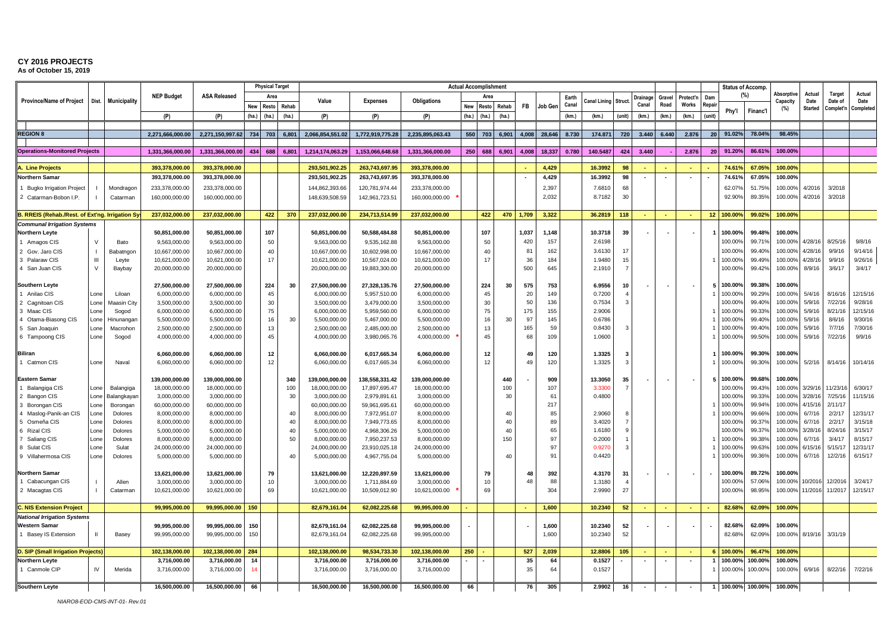**As of October 15, 2019** T/E U/F W/G

|                                                 |             |                    |                               |                               |       | <b>Physical Target</b> |       |                               |                               |                               |       | <b>Actual Accomplishment</b> |            |           |                |       |                  |          |          |        |           |        | <b>Status of Accomp</b> |                  |                       |                    |                          |                     |
|-------------------------------------------------|-------------|--------------------|-------------------------------|-------------------------------|-------|------------------------|-------|-------------------------------|-------------------------------|-------------------------------|-------|------------------------------|------------|-----------|----------------|-------|------------------|----------|----------|--------|-----------|--------|-------------------------|------------------|-----------------------|--------------------|--------------------------|---------------------|
| <b>Province/Name of Project</b>                 | Dist.       | Municipality       | <b>NEP Budget</b>             | <b>ASA Released</b>           |       | Area                   |       | Value                         | <b>Expenses</b>               | Obligations                   |       | Area                         |            |           |                | Earth | Canal Lining     | Struc    | Drainage | Gravel | Protect'n | Dam    |                         | (%)              | Absorptiv<br>Capacity | Actual<br>Date     | <b>Target</b><br>Date of | Actual<br>Date      |
|                                                 |             |                    |                               |                               | New   | Resto                  | Rehab |                               |                               |                               | New   | Resto                        | Rehab      | <b>FB</b> | Job Ger        | Canal |                  |          | Canal    | Road   | Works     | Repair | Phy'l                   | Financ'l         | (%)                   | Started            | Complet'n                | Completed           |
|                                                 |             |                    | (P)                           | (P)                           | (ha.) | (ha.)                  | (ha.) | (P)                           | (P)                           | (P)                           | (ha.) | (ha.)                        | (ha.)      |           |                | (km.) | (km.)            | (unit)   | (km.)    | (km.)  | (km.)     | (unit) |                         |                  |                       |                    |                          |                     |
| <b>REGION 8</b>                                 |             |                    | 2.271.666.000.00              | 2,271,150,997.62 734 703      |       |                        | 6,801 | 2.066.854.551.02              | 1,772,919,775.28              | 2.235.895.063.43              |       | 550 703                      | 6,901      | 4.008     | 28.646         | 8.730 | 174.871          | 720      | 3.440    | 6.440  | 2.876     | 20     | 91.02%                  | 78.04%           | 98.45%                |                    |                          |                     |
|                                                 |             |                    |                               |                               |       |                        |       |                               |                               |                               |       |                              |            |           |                |       |                  |          |          |        |           |        |                         |                  |                       |                    |                          |                     |
| <b>Operations-Monitored Projects</b>            |             |                    | 1,331,366,000.00              | 1,331,366,000.00              | 434   | 688                    | 6,801 | 1,214,174,063.29              | 1,153,066,648.68              | 1,331,366,000.00              | 250   | 688                          | 6,901      | 4,008     | 18,337         | 0.780 | 140.5487         | 424      | 3.440    |        | 2.876     | 20     | 91.20%                  | 86.61%           | 100.00%               |                    |                          |                     |
|                                                 |             |                    |                               |                               |       |                        |       |                               |                               |                               |       |                              |            |           |                |       |                  |          |          |        |           |        |                         |                  |                       |                    |                          |                     |
| Line Projects                                   |             |                    | 393,378,000.00                | 393,378,000.00                |       |                        |       | 293,501,902.25                | 263,743,697.95                | 393,378,000.00                |       |                              |            |           | 4,429          |       | 16.3992          | 98       |          |        |           |        | 74.61°                  | 67.05%           | 100.00%               |                    |                          |                     |
| Northern Samar                                  |             |                    | 393,378,000.00                | 393,378,000.00                |       |                        |       | 293,501,902.25                | 263,743,697.95                | 393,378,000.00                |       |                              |            |           | 4,429          |       | 16.3992          | 98       |          |        |           |        | 74.61                   | 67.05%           | 100.00%               |                    |                          |                     |
| 1 Bugko Irrigation Project                      |             | Mondragon          | 233,378,000.00                | 233,378,000.00                |       |                        |       | 144,862,393.66                | 120,781,974.44                | 233,378,000.00                |       |                              |            |           | 2,397<br>2,032 |       | 7.6810<br>8.7182 | 68<br>30 |          |        |           |        | 62.079<br>92.909        | 51.75%<br>89.35% | 100.00%<br>100.00%    | 4/2016<br>4/2016   | 3/2018<br>3/2018         |                     |
| 2 Catarman-Bobon I.P.                           |             | Catarman           | 160,000,000.00                | 160,000,000.00                |       |                        |       | 148,639,508.59                | 142,961,723.51                | 160,000,000.00                |       |                              |            |           |                |       |                  |          |          |        |           |        |                         |                  |                       |                    |                          |                     |
| B. RREIS (Rehab./Rest. of Ext'ng. Irrigation Sy |             |                    | 237,032,000.00                | 237,032,000.00                |       | 422                    | 370   | 237,032,000.00                | 234,713,514.99                | 237,032,000.00                |       | 422                          | 470        | 1,709     | 3,322          |       | 36.2819          | 118      |          | $\sim$ | $\sim$    | 12     | 100.00%                 | 99.02%           | 100.00%               |                    |                          |                     |
| <b>Communal Irrigation Systems</b>              |             |                    |                               |                               |       |                        |       |                               |                               |                               |       |                              |            |           |                |       |                  |          |          |        |           |        |                         |                  |                       |                    |                          |                     |
| <b>Northern Leyte</b>                           |             |                    | 50,851,000.00                 | 50,851,000.00                 |       | 107                    |       | 50,851,000.00                 | 50,588,484.88                 | 50,851,000.00                 |       | 107                          |            | 1,037     | 1,148          |       | 10.3718          | 39       |          |        |           |        | 100.00%                 | 99.48%           | 100.00%               |                    |                          |                     |
| 1 Amagos CIS                                    | $\vee$      | Bato               | 9,563,000.00                  | 9,563,000.00                  |       | 50                     |       | 9,563,000.00                  | 9,535,162.88                  | 9,563,000.00                  |       | 50                           |            | 420       | 157            |       | 2.6198           |          |          |        |           |        | 100.00%                 | 99.71%           | 100.00%               | 4/28/16            | 8/25/16                  | 9/8/16              |
| 2 Gov. Jaro CIS                                 |             | Babatngon          | 10,667,000.00                 | 10,667,000.00                 |       | 40                     |       | 10,667,000.00                 | 10,602,998.00                 | 10,667,000.00                 |       | 40                           |            | 81        | 162            |       | 3.6130           | 17       |          |        |           |        | 100.00%                 | 99.40%           | 100.00%               | 4/28/16            | 9/9/16                   | 9/14/16             |
| 3 Palaraw CIS                                   | Ш           | Leyte              | 10,621,000.00                 | 10,621,000.00                 |       | 17                     |       | 10,621,000.00                 | 10,567,024.00                 | 10,621,000.00                 |       | 17                           |            | 36        | 184            |       | 1.9480           | 15       |          |        |           |        | 100.009                 | 99.49%           | 100.00%               | 4/28/16            | 9/9/16                   | 9/26/16             |
| 4 San Juan CIS                                  | $\vee$      | Baybay             | 20,000,000.00                 | 20,000,000.00                 |       |                        |       | 20,000,000.00                 | 19,883,300.00                 | 20,000,000.00                 |       |                              |            | 500       | 645            |       | 2.1910           |          |          |        |           |        | 100.009                 | 99.42%           | 100.00%               | 8/9/16             | 3/6/17                   | 3/4/17              |
| <b>Southern Leyte</b>                           |             |                    | 27,500,000.00                 | 27,500,000.00                 |       | 224                    | 30    | 27,500,000.00                 | 27,328,135.76                 | 27,500,000.00                 |       | 224                          | 30         | 575       | 753            |       | 6.9556           | 10       |          |        |           |        | 100.00%                 | 99.38%           | 100.00%               |                    |                          |                     |
| Anilao CIS                                      | Lone        | Liloan             | 6,000,000.00                  | 6,000,000.00                  |       | 45                     |       | 6,000,000.00                  | 5,957,510.00                  | 6,000,000.00                  |       | 45                           |            | 20        | 149            |       | 0.7200           |          |          |        |           |        | 100.009                 | 99.29%           | 100.00%               | 5/4/16             | 8/16/1                   | 12/15/16            |
| 2 Cagnitoan CIS                                 | Lone        | Maasin City        | 3,500,000.00                  | 3,500,000.00                  |       | 3 <sub>0</sub>         |       | 3,500,000.00                  | 3,479,000.00                  | 3,500,000.00                  |       | 30                           |            | 50        | 136            |       | 0.7534           | -3       |          |        |           |        | 100.00%                 | 99.40%           | 100.00%               | 5/9/16             | 7/22/1                   | 9/28/16             |
| 3 Maac CIS                                      | Lone        | Sogod              | 6,000,000.00                  | 6,000,000.00                  |       | 75                     |       | 6,000,000.00                  | 5,959,560.00                  | 6,000,000.00                  |       | 75                           |            | 175       | 155            |       | 2.9006           |          |          |        |           |        | 100.00%                 | 99.33%           | 100.00%               | 5/9/16             | 8/21/1                   | 12/15/16            |
| 4 Otama-Biasong CIS                             | Lone        | Hinunangan         | 5,500,000.00                  | 5,500,000.00                  |       | 16                     | 30    | 5,500,000.00                  | 5,467,000.00                  | 5,500,000.00                  |       | 16                           | 30         | 97        | 145            |       | 0.6786           |          |          |        |           |        | 100.009                 | 99.40%           | 100.00%               | 5/9/16             | 8/6/16                   | 9/30/16             |
| 5 San Joaquin                                   | Lone        | Macrohon           | 2,500,000.00                  | 2,500,000.00                  |       | 13                     |       | 2,500,000.00                  | 2,485,000.00                  | 2,500,000.00                  |       | 13                           |            | 165       | 59             |       | 0.8430           | -3       |          |        |           |        | 100.00%                 | 99.40%           | 100.00%               | 5/9/16             | 7/7/16                   | 7/30/16             |
| 6 Tampoong CIS                                  | Lone        | Sogod              | 4,000,000.00                  | 4,000,000.00                  |       | 45                     |       | 4,000,000.00                  | 3,980,065.76                  | 4,000,000.00                  |       | 45                           |            | 68        | 109            |       | 1.0600           |          |          |        |           |        | 100.009                 | 99.50%           | 100.00%               | 5/9/16             | 7/22/16                  | 9/9/16              |
| <b>Biliran</b>                                  |             |                    | 6,060,000.00                  | 6,060,000.00                  |       | 12                     |       | 6,060,000.00                  | 6,017,665.34                  | 6,060,000.00                  |       | 12                           |            | 49        | 120            |       | 1.3325           |          |          |        |           |        | 100.00°                 | 99.30%           | 100.00%               |                    |                          |                     |
| 1 Catmon CIS                                    | Lone        | Naval              | 6,060,000.00                  | 6,060,000.00                  |       | 12                     |       | 6,060,000.00                  | 6,017,665.34                  | 6,060,000.00                  |       | 12                           |            | 49        | 120            |       | 1.3325           | 3        |          |        |           |        | 100.009                 | 99.30%           | 100.00%               | 5/2/16             | 8/14/16                  | 10/14/16            |
|                                                 |             |                    |                               |                               |       |                        |       |                               |                               |                               |       |                              |            |           |                |       |                  |          |          |        |           |        |                         |                  |                       |                    |                          |                     |
| <b>Eastern Samar</b>                            |             |                    | 139,000,000.00                | 139,000,000.00                |       |                        | 340   | 139,000,000.00                | 138,558,331.42                | 139,000,000.00                |       |                              | 440        |           | 909            |       | 13.3050          | 35       |          |        |           |        | 100.00%                 | 99.68%           | 100.00%               |                    |                          |                     |
| Balangiga CIS                                   | Lone        | Balangiga          | 18,000,000.00                 | 18,000,000.00                 |       |                        | 100   | 18,000,000.00                 | 17,897,695.47                 | 18,000,000.00                 |       |                              | 100        |           | 107            |       | 3.330            |          |          |        |           |        | 100.00%                 | 99.43%           | 100.00%               | 3/29/16            | 1/23/1                   | 6/30/17             |
| 2 Bangon CIS                                    | Lone        | Balangkayar        | 3,000,000.00                  | 3,000,000.00                  |       |                        | 30    | 3,000,000.00                  | 2,979,891.61                  | 3,000,000.00                  |       |                              | 30         |           | 61             |       | 0.4800           |          |          |        |           |        | 100.009                 | 99.33%           | 100.00%               | 3/28/16            | 7/25/16                  | 11/15/16            |
| 3 Borongan CIS                                  | Lone        | Borongan           | 60,000,000.00<br>8,000,000.00 | 60,000,000.00<br>8,000,000.00 |       |                        | 40    | 60,000,000.00<br>8,000,000.00 | 59,961,695.61<br>7,972,951.07 | 60,000,000.00<br>8,000,000.00 |       |                              | $\Delta$ C |           | 217<br>85      |       | 2.9060           |          |          |        |           |        | 100.00%<br>100.009      | 99.94%<br>99.66% | 100.00%<br>100.00%    | 4/15/16<br>6/7/16  | 2/11/1<br>2/2/17         | 12/31/17            |
| 4 Maslog-Panik-an CIS<br>5 Osmeña CIS           | one<br>Lone | Dolores<br>Dolores | 8,000,000.00                  | 8,000,000.00                  |       |                        | 40    | 8,000,000.00                  | 7,949,773.65                  | 8,000,000.00                  |       |                              | $\Delta$ C |           | 89             |       | 3.4020           |          |          |        |           |        | 100.00%                 | 99.37%           | 100.00%               | 6/7/16             | 2/2/17                   | 3/15/18             |
| 6 Rizal CIS                                     | Lone        | Dolores            | 5,000,000.00                  | 5,000,000.00                  |       |                        | 40    | 5,000,000.00                  | 4,968,306.26                  | 5,000,000.00                  |       |                              | 40         |           | 65             |       | 1.6180           |          |          |        |           |        | 100.00%                 | 99.37%           | 100.00%               | 3/28/16            | 8/24/1                   | 3/15/17             |
| 7 Saliang CIS                                   | Lone        | Dolores            | 8,000,000.00                  | 8,000,000.00                  |       |                        | 50    | 8,000,000.00                  | 7,950,237.53                  | 8,000,000.00                  |       |                              | 150        |           | -97            |       | 0.2000           |          |          |        |           |        | 100.009                 | 99.38%           | 100.00%               | 6/7/16             | 3/4/17                   | 8/15/17             |
| 8 Sulat CIS                                     | Lone        | Sulat              | 24,000,000.00                 | 24,000,000.00                 |       |                        |       | 24,000,000.00                 | 23,910,025.18                 | 24,000,000.00                 |       |                              |            |           | 97             |       | 0.927            |          |          |        |           |        | 100.009                 | 99.63%           | 100.00%               | 6/15/16            | 5/15/1                   | 12/31/17            |
| 9 Villahermosa CIS                              | Lone        | Dolores            | 5,000,000.00                  | 5,000,000.00                  |       |                        | 40    | 5,000,000.00                  | 4,967,755.04                  | 5,000,000.00                  |       |                              | 40         |           | 91             |       | 0.4420           |          |          |        |           |        | 100.009                 | 99.36%           | 100.00%               | 6/7/16             | 12/2/16                  | 6/15/17             |
|                                                 |             |                    |                               |                               |       |                        |       |                               |                               |                               |       |                              |            |           |                |       |                  |          |          |        |           |        |                         |                  |                       |                    |                          |                     |
| <b>Northern Samar</b>                           |             |                    | 13,621,000.00                 | 13,621,000.00                 |       | 79                     |       | 13,621,000.00                 | 12,220,897.59                 | 13,621,000.00                 |       | 79                           |            | 48<br>48  | 392            |       | 4.3170           | 31       |          |        |           |        | 100.00%                 | 89.72%           | 100.00%               |                    |                          |                     |
| 1 Cabacungan CIS<br>2 Macagtas CIS              |             | Allen<br>Catarman  | 3,000,000.00<br>10,621,000.00 | 3,000,000.00<br>10,621,000.00 |       | 10<br>69               |       | 3,000,000.00<br>10,621,000.00 | 1,711,884.69<br>10,509,012.90 | 3,000,000.00<br>10,621,000.00 |       | 10<br>69                     |            |           | 88<br>304      |       | 1.3180<br>2.9990 | 27       |          |        |           |        | 100.00%<br>100.009      | 57.06%<br>98.95% | 100.00%<br>100.00%    | 10/2016<br>11/2016 | 12/201<br>11/201         | 3/24/17<br>12/15/17 |
|                                                 |             |                    |                               |                               |       |                        |       |                               |                               |                               |       |                              |            |           |                |       |                  |          |          |        |           |        |                         |                  |                       |                    |                          |                     |
| . NIS Extension Project                         |             |                    | 99,995,000.00                 | 99,995,000.00                 | 150   |                        |       | 82,679,161.04                 | 62,082,225.68                 | 99,995,000.00                 |       |                              |            | a.        | 1,600          |       | 10.2340          | 52       |          |        | $\sim$    |        | 82.68%                  | 62.09%           | 100.00%               |                    |                          |                     |
| <b>National Irrigation Systems</b>              |             |                    |                               |                               |       |                        |       |                               |                               |                               |       |                              |            |           |                |       |                  |          |          |        |           |        |                         |                  |                       |                    |                          |                     |
| <b>Western Samar</b>                            |             |                    | 99,995,000.00                 | 99,995,000.00                 | 150   |                        |       | 82,679,161.04                 | 62,082,225.68                 | 99,995,000.00                 |       |                              |            |           | 1,600          |       | 10.2340          | 52       |          |        |           |        | 82.68%                  | 62.09%           | 100.00%               |                    |                          |                     |
| 1 Basey IS Extension                            |             | Basey              | 99,995,000.00                 | 99,995,000.00                 | 150   |                        |       | 82,679,161.04                 | 62,082,225.68                 | 99,995,000.00                 |       |                              |            |           | 1,600          |       | 10.2340          | 52       |          |        |           |        | 82.689                  | 62.09%           | 100.00%               | 8/19/16            | 3/31/19                  |                     |
| <b>SIP (Small Irrigation Projects)</b>          |             |                    | 102.138.000.00                | 102.138.000.00                | 284   |                        |       | 102,138,000.00                | 98,534,733.30                 | 102.138.000.00                | 250   |                              |            | 527       | 2.039          |       | 12,8806          | 105      |          |        |           |        | 100.00%                 | 96.47%           | 100.00%               |                    |                          |                     |
| <b>Northern Leyte</b>                           |             |                    | 3,716,000.00                  | 3,716,000.00                  | 14    |                        |       | 3,716,000.00                  | 3,716,000.00                  | 3,716,000.00                  |       |                              |            | 35        | 64             |       | 0.1527           |          |          |        |           |        | 100.00%                 | 100.00%          | 100.00%               |                    |                          |                     |
| 1 Canmole CIP                                   | IV          | Merida             | 3,716,000.00                  | 3,716,000.00                  | 14    |                        |       | 3,716,000.00                  | 3,716,000.00                  | 3,716,000.00                  |       |                              |            | 35        | 64             |       | 0.1527           |          |          |        |           |        | 100.00%                 | 100.00%          | 100.00%               | 6/9/16             | 8/22/16                  | 7/22/16             |
|                                                 |             |                    |                               |                               |       |                        |       |                               |                               |                               |       |                              |            |           |                |       |                  |          |          |        |           |        |                         |                  |                       |                    |                          |                     |
| <b>Southern Leyte</b>                           |             |                    | 16,500,000.00                 | 16,500,000.00                 | 66    |                        |       | 16,500,000.00                 | 16,500,000.00                 | 16,500,000.00                 | 66    |                              |            | 76        | 305            |       | 2.9902           | 16       |          |        |           |        |                         | 100.00% 100.00%  | 100.00%               |                    |                          |                     |

*NIARO8-EOD-CMS-INT-01- Rev.01*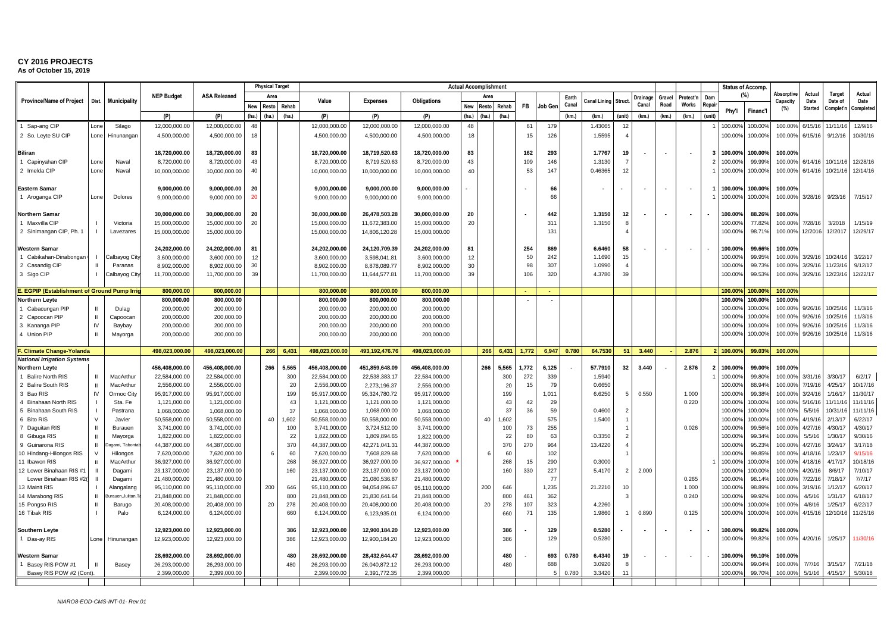**As of October 15, 2019** T/E U/F W/G

|                                                 |               |                                      |                               |                               |          | <b>Physical Target</b> |           |                               |                               |                                | <b>Actual Accomplishmen</b> |       |           |           |            |       |              |                |         |        |                          |                         | <b>Status of Accomp.</b> |                   |                    |                    |                      |                     |
|-------------------------------------------------|---------------|--------------------------------------|-------------------------------|-------------------------------|----------|------------------------|-----------|-------------------------------|-------------------------------|--------------------------------|-----------------------------|-------|-----------|-----------|------------|-------|--------------|----------------|---------|--------|--------------------------|-------------------------|--------------------------|-------------------|--------------------|--------------------|----------------------|---------------------|
|                                                 |               |                                      | <b>NEP Budget</b>             | <b>ASA Released</b>           |          | Area                   |           |                               |                               |                                |                             | Area  |           |           |            | Earth |              |                | )rainao | Gravel | rotect'n                 | Dam                     | (%)                      |                   | Absorptive         | Actual             | <b>Target</b>        | Actual              |
| <b>Province/Name of Project</b>                 | Dist.         | Municipality                         |                               |                               | New      | Resto                  | Rehab     | Value                         | <b>Expenses</b>               | <b>Obligations</b>             | <b>New</b>                  | Resto | Rehab     | <b>FB</b> | Job Ger    | Canal | Canal Lining | <b>Struc</b>   | Canal   | Road   | Works                    | Repair                  |                          |                   | Capacity<br>(%)    | Date<br>Started    | Date of<br>Complet'n | Date<br>Completed   |
|                                                 |               |                                      | (P)                           | (P)                           | (ha.)    | (ha.)                  | (ha.)     | (P)                           | (P)                           | (P)                            | (ha.)                       | (ha.) | (ha.)     |           |            | (km.) | (km)         | (unit)         | (km)    | (km.)  | (km)                     | (unit)                  | Phy'l                    | Financ'l          |                    |                    |                      |                     |
| 1 Sap-ang CIP                                   | Lone          | Silago                               | 12,000,000.00                 | 12,000,000.00                 | 48       |                        |           | 12,000,000.00                 | 12,000,000.00                 | 12,000,000.00                  | 48                          |       |           | 61        | 179        |       | 1.43065      | 12             |         |        |                          |                         | 100.00%                  | 100.00%           | 100.00%            | 6/15/16            | 11/11/1              | 12/9/16             |
| 2 So. Leyte SU CIP                              | Lone          | Hinunangan                           | 4,500,000.00                  | 4,500,000.00                  | 18       |                        |           | 4,500,000.00                  | 4,500,000.00                  | 4,500,000.00                   | 18                          |       |           | 15        | 126        |       | 1.5595       |                |         |        |                          |                         | 100.00%                  | 100.00%           | 100.00%            | 6/15/16            | 9/12/16              | 10/30/16            |
|                                                 |               |                                      |                               |                               |          |                        |           |                               |                               |                                |                             |       |           |           |            |       |              |                |         |        |                          |                         |                          |                   |                    |                    |                      |                     |
| <b>Biliran</b>                                  |               |                                      | 18,720,000.00                 | 18,720,000.00                 | 83       |                        |           | 18,720,000.00                 | 18,719,520.63                 | 18,720,000.00                  | 83                          |       |           | 162       | 293        |       | 1.7767       | 19             |         |        | $\overline{\phantom{a}}$ | $\overline{\mathbf{3}}$ | 100.00%                  | 100.00%           | 100.00%            |                    |                      |                     |
| 1 Capinyahan CIP                                | Lone          | Naval                                | 8,720,000.00                  | 8,720,000.00                  | 43       |                        |           | 8,720,000.00                  | 8,719,520.63                  | 8,720,000.00                   | 43                          |       |           | 109       | 146        |       | 1.3130       |                |         |        |                          | $\overline{2}$          | 100.009                  | 99.99%            | 100.00%            | 6/14/16            | 10/11/16             | 12/28/16            |
| 2 Imelda CIP                                    | Lone          | Naval                                | 10,000,000.00                 | 10,000,000.00                 | 40       |                        |           | 10,000,000.00                 | 10,000,000.00                 | 10,000,000.00                  | 40                          |       |           | 53        | 147        |       | 0.46365      | 12             |         |        |                          |                         | 100.00%                  | 100.00%           | 100.00%            | 6/14/16            | 10/21/1              | 12/14/16            |
|                                                 |               |                                      |                               |                               |          |                        |           |                               |                               |                                |                             |       |           |           |            |       |              |                |         |        |                          |                         |                          |                   |                    |                    |                      |                     |
| <b>Eastern Samar</b>                            |               |                                      | 9,000,000.00                  | 9,000,000.00                  | 20       |                        |           | 9,000,000.00                  | 9,000,000.00                  | 9,000,000.00                   |                             |       |           |           | 66         |       |              |                |         | $\sim$ | ٠.                       |                         | 100.00%                  | 100.00%           | 100.00%            |                    |                      |                     |
| 1 Aroganga CIP                                  | Lone          | Dolores                              | 9,000,000.00                  | 9,000,000.00                  | 20       |                        |           | 9,000,000.00                  | 9,000,000.00                  | 9,000,000.00                   |                             |       |           |           | 66         |       |              |                |         |        |                          |                         | 100.009                  | 100.00%           | 100.00%            | 3/28/16            | 9/23/16              | 7/15/17             |
|                                                 |               |                                      |                               |                               |          |                        |           |                               |                               |                                |                             |       |           |           |            |       |              |                |         |        |                          |                         |                          |                   |                    |                    |                      |                     |
| <b>Northern Samar</b>                           |               |                                      | 30,000,000.00                 | 30,000,000.00                 | 20       |                        |           | 30,000,000.00                 | 26,478,503.28                 | 30,000,000.00                  | 20                          |       |           |           | 442        |       | 1.3150       | 12             |         |        | $\blacksquare$           |                         | 100.00%                  | 88.26%            | 100.00%            |                    |                      |                     |
| Maxvilla CIP                                    |               | Victoria                             | 15,000,000.00                 | 15,000,000.00                 | 20       |                        |           | 15,000,000.00                 | 11,672,383.00                 | 15,000,000.00                  | 20                          |       |           |           | 311        |       | 1.3150       | 8              |         |        |                          |                         | 100.00%                  | 77.82%            | 100.00%            | 7/28/16            | 3/2018               | 1/15/19             |
| 2 Sinimangan CIP, Ph. 1                         |               | Lavezares                            | 15,000,000.00                 | 15,000,000.00                 |          |                        |           | 15,000,000.00                 | 14,806,120.28                 | 15,000,000.00                  |                             |       |           |           | 131        |       |              |                |         |        |                          |                         | 100.00%                  | 98.71%            | 100.00%            | 12/2016            | 12/2017              | 12/29/17            |
| <b>Western Samar</b>                            |               |                                      | 24,202,000.00                 | 24,202,000.00                 |          |                        |           |                               | 24,120,709.39                 | 24,202,000.00                  | 81                          |       |           | 254       | 869        |       | 6.6460       | 58             |         |        |                          |                         | 100.00%                  | 99.66%            | 100.00%            |                    |                      |                     |
| 1 Cabikahan-Dinabongar                          |               |                                      |                               |                               | 81       |                        |           | 24,202,000.00                 |                               |                                |                             |       |           | 50        | 242        |       | 1.1690       | 15             |         |        |                          |                         | 100.00%                  | 99.95%            | 100.00%            | 3/29/16            | 10/24/1              | 3/22/17             |
| 2 Casandig CIP                                  | Ш             | Calbayog Cit <sub>)</sub><br>Paranas | 3,600,000.00<br>8,902,000.00  | 3,600,000.00<br>8,902,000.00  | 12<br>30 |                        |           | 3,600,000.00<br>8,902,000.00  | 3,598,041.8<br>8,878,089.77   | 3,600,000.00<br>8,902,000.00   | 12<br>30                    |       |           | 98        | 307        |       | 1.0990       | $\overline{A}$ |         |        |                          |                         | 100.00%                  | 99.73%            | 100.00%            | 3/29/16            | 11/23/1              | 9/12/17             |
| 3 Sigo CIP                                      |               | Calbayog City                        | 11,700,000.00                 | 11,700,000.00                 | 39       |                        |           | 11,700,000.00                 | 11,644,577.81                 | 11,700,000.00                  | 39                          |       |           | 106       | 320        |       | 4.3780       | 39             |         |        |                          |                         | 100.00%                  | 99.53%            | 100.00%            | 3/29/16            | 12/23/1              | 12/22/17            |
|                                                 |               |                                      |                               |                               |          |                        |           |                               |                               |                                |                             |       |           |           |            |       |              |                |         |        |                          |                         |                          |                   |                    |                    |                      |                     |
| <b>EGPIP (Establishment of Ground Pump Irri</b> |               |                                      | 800,000.00                    | 800,000.00                    |          |                        |           | 800,000.00                    | 800,000.00                    | 800,000.00                     |                             |       |           | $\sim$    |            |       |              |                |         |        |                          |                         | 100.00%                  | 100.00%           | 100.00%            |                    |                      |                     |
| <b>Northern Leyte</b>                           |               |                                      | 800,000.00                    | 800,000.00                    |          |                        |           | 800,000.00                    | 800,000.00                    | 800,000.00                     |                             |       |           |           |            |       |              |                |         |        |                          |                         | 100.00%                  | 100.00%           | 100.00%            |                    |                      |                     |
| Cabacungan PIP                                  |               | Dulag                                | 200,000.00                    | 200,000.00                    |          |                        |           | 200,000.00                    | 200,000.00                    | 200,000.00                     |                             |       |           |           |            |       |              |                |         |        |                          |                         | 100.009                  | 100.00%           | 100.00%            | 9/26/16            | 10/25/1              | 11/3/16             |
| 2 Capoocan PIP                                  | $\mathbf{H}$  | Capoocan                             | 200,000.00                    | 200,000.00                    |          |                        |           | 200,000.00                    | 200,000.00                    | 200,000.00                     |                             |       |           |           |            |       |              |                |         |        |                          |                         | 100.009                  | 100.00%           | 100.00%            | 9/26/16            | 10/25/1              | 11/3/16             |
| 3 Kananga PIP                                   | IV            | Baybay                               | 200,000.00                    | 200,000.00                    |          |                        |           | 200,000.00                    | 200,000.00                    | 200,000.00                     |                             |       |           |           |            |       |              |                |         |        |                          |                         | 100.00%                  | 100.00%           | 100.00%            | 9/26/16            | 10/25/1              | 11/3/16             |
| 4 Union PIP                                     | $\mathbf{H}$  | Mayorga                              | 200,000.00                    | 200,000.00                    |          |                        |           | 200,000.00                    | 200,000.00                    | 200,000.00                     |                             |       |           |           |            |       |              |                |         |        |                          |                         | 100.00%                  | 100.00%           | 100.00%            | 9/26/16            | 10/25/1              | 11/3/16             |
| <b>Climate Change-Yolanda</b>                   |               |                                      | 498,023,000.00                | 498,023,000.00                |          | 266                    | 6.431     | 498,023,000.00                | 493,192,476.7                 | 498,023,000.00                 |                             | 266   | 6.431     | 1,772     | 6.947      | 0.780 | 64.7530      | 51             | 3.440   |        | 2.876                    |                         | 100.00                   | 99.03%            | 100.00%            |                    |                      |                     |
| <b>National Irrigation Systems</b>              |               |                                      |                               |                               |          |                        |           |                               |                               |                                |                             |       |           |           |            |       |              |                |         |        |                          |                         |                          |                   |                    |                    |                      |                     |
| <b>Northern Leyte</b>                           |               |                                      | 456,408,000.00                | 456,408,000.00                |          | 266                    | 5,565     | 456,408,000.00                | 451,859,648.09                | 456,408,000.00                 |                             | 266   | 5,565     | 1,772     | 6,125      |       | 57.7910      | 32             | 3.440   |        | 2.876                    | $\overline{2}$          | 100.00%                  | 99.00%            | 100.00%            |                    |                      |                     |
| <b>Balire North RIS</b>                         | Ш             | MacArthur                            | 22,584,000.00                 | 22,584,000.00                 |          |                        | 300       | 22,584,000.00                 | 22,538,383.17                 | 22,584,000.00                  |                             |       | 300       | 272       | 339        |       | 1.5940       |                |         |        |                          |                         | 100.00%                  | 99.80%            | 100.00%            | 3/31/16            | 3/30/17              | 6/2/17              |
| 2 Balire South RIS                              | П             | MacArthur                            | 2,556,000.00                  | 2,556,000.00                  |          |                        | 20        | 2,556,000.00                  | 2,273,196.37                  | 2,556,000.00                   |                             |       | 20        | 15        | 79         |       | 0.6650       |                |         |        |                          |                         | 100.00%                  | 88.94%            | 100.00%            | 7/19/16            | 4/25/17              | 10/17/16            |
| 3 Bao RIS                                       | $\mathsf{IV}$ | Ormoc City                           | 95,917,000.00                 | 95,917,000.00                 |          |                        | 199       | 95,917,000.00                 | 95,324,780.72                 | 95,917,000.00                  |                             |       | 199       |           | 1,011      |       | 6.6250       | 5              | 0.550   |        | 1.000                    |                         | 100.00%                  | 99.38%            | 100.00%            | 3/24/16            | 1/16/1               | 11/30/17            |
| 4 Binahaan North RIS                            |               | Sta. Fe                              | 1,121,000.00                  | 1,121,000.00                  |          |                        | 43        | 1,121,000.00                  | 1,121,000.00                  | 1,121,000.00                   |                             |       | 43        | 42        | 29         |       |              |                |         |        | 0.220                    |                         | 100.00%                  | 100.00%           | 100.00%            | 5/16/16            | 11/11/1              | 11/11/16            |
| 5 Binahaan South RIS                            |               | Pastrana                             | 1,068,000.00                  | 1,068,000.00                  |          |                        | 37        | 1,068,000.00                  | 1,068,000.00                  | 1,068,000.00                   |                             |       | 37        | 36        | 59         |       | 0.4600       |                |         |        |                          |                         | 100.00%                  | 100.00%           | 100.00%            | 5/5/16             | 10/31/1              | 11/11/16            |
| 6 Bito RIS                                      | $\vee$        | Javier                               | 50,558,000.00                 | 50,558,000.00                 |          | 40                     | 1,602     | 50,558,000.00                 | 50,558,000.00                 | 50,558,000.00                  |                             | 40    | 1,602     |           | 575        |       | 1.5400       |                |         |        |                          |                         | 100.00%                  | 100.00%           | 100.00%            | 4/19/16            | 2/13/17              | 6/22/17             |
| 7 Daguitan RIS                                  | $\mathbf{I}$  | Burauen                              | 3,741,000.00                  | 3,741,000.00                  |          |                        | 100       | 3,741,000.00                  | 3,724,512.00                  | 3,741,000.00                   |                             |       | 100       | 73        | 255        |       |              |                |         |        | 0.026                    |                         | 100.00%                  | 99.56%            | 100.00%            | 4/27/16            | 4/30/1               | 4/30/17             |
| 8 Gibuga RIS                                    | Ш             | Mayorga                              | 1,822,000.00                  | 1,822,000.00                  |          |                        | 22        | 1,822,000.00                  | 1,809,894.65                  | 1,822,000.00                   |                             |       | 22        | 80        | 63         |       | 0.3350       | -2             |         |        |                          |                         | 100.00%                  | 99.34%            | 100.00%            | 5/5/16             | 1/30/1               | 9/30/16             |
| 9 Guinarona RIS                                 | $\mathbf{H}$  | agami, Tabont                        | 44,387,000.00                 | 44,387,000.00                 |          |                        | 370       | 44,387,000.00                 | 42,271,041.31                 | 44,387,000.00                  |                             |       | 370       | 270       | 964        |       | 13.4220      |                |         |        |                          |                         | 100.00%                  | 95.23%            | 100.00%            | 4/27/16            | 3/24/17              | 3/17/18             |
| 10 Hindang-Hilongos RIS<br>11 Ibawon RIS        | V             | Hilongos                             | 7,620,000.00<br>36,927,000.00 | 7,620,000.00<br>36,927,000.00 |          |                        | 60<br>268 | 7,620,000.00<br>36,927,000.00 | 7,608,829.68<br>36,927,000.00 | 7,620,000.00                   |                             | 6     | 60<br>268 | 15        | 102<br>290 |       | 0.3000       |                |         |        |                          |                         | 100.00%<br>100.009       | 99.85%<br>100.00% | 100.00%<br>100.00% | 4/18/16<br>4/18/16 | 1/23/17<br>4/17/17   | 9/15/16<br>10/18/16 |
| 12 Lower Binahaan RIS #1                        | ш             | MacArthur<br>Dagami                  | 23,137,000.00                 | 23,137,000.00                 |          |                        | 160       | 23,137,000.00                 | 23,137,000.00                 | 36,927,000.00<br>23,137,000.00 |                             |       | 160       | 330       | 227        |       | 5.4170       | $\overline{2}$ | 2.000   |        |                          |                         | 100.009                  | 100.00%           | 100.00%            | 4/20/16            | 8/6/17               | 7/10/17             |
| Lower Binahaan RIS #2                           | $\mathbf{I}$  | Dagami                               | 21,480,000.00                 | 21,480,000.00                 |          |                        |           | 21,480,000.00                 | 21,080,536.87                 | 21,480,000.00                  |                             |       |           |           | 77         |       |              |                |         |        | 0.265                    |                         | 100.00%                  | 98.14%            | 100.00%            | 7/22/16            | 7/18/1               | 7/7/17              |
| 13 Mainit RIS                                   |               | Alangalang                           | 95,110,000.00                 | 95,110,000.00                 |          | 200                    | 646       | 95,110,000.00                 | 94,054,896.67                 | 95,110,000.00                  |                             | 200   | 646       |           | 1,235      |       | 21.2210      |                |         |        | 1.000                    |                         | 100.00%                  | 98.89%            | 100.00%            | 3/19/16            | 1/12/17              | 6/20/17             |
| 14 Marabong RIS                                 | $\mathbf{I}$  | urauen, Julitan,                     | 21,848,000.00                 | 21,848,000.00                 |          |                        | 800       | 21,848,000.00                 | 21,830,641.64                 | 21,848,000.00                  |                             |       | 800       | 461       | 362        |       |              |                |         |        | 0.240                    |                         | 100.00%                  | 99.92%            | 100.00%            | 4/5/16             | 1/31/1               | 6/18/17             |
| 15 Pongso RIS                                   | $\mathbf{H}$  | Barugo                               | 20,408,000.00                 | 20,408,000.00                 |          | 20                     | 278       | 20,408,000.00                 | 20,408,000.00                 | 20,408,000.00                  |                             | 20    | 278       | 107       | 323        |       | 4.2260       |                |         |        |                          |                         | 100.00%                  | 100.00%           | 100.00%            | 4/8/16             | 1/25/1               | 6/22/17             |
| 16 Tibak RIS                                    |               | Palo                                 | 6,124,000.00                  | 6,124,000.00                  |          |                        | 660       | 6,124,000.00                  | 6,123,935.01                  | 6,124,000.00                   |                             |       | 660       | 71        | 135        |       | 1.9860       |                | 0.890   |        | 0.125                    |                         | 100.00%                  | 100.00%           | 100.00%            | 4/15/16            | 12/10/16             | 11/25/16            |
|                                                 |               |                                      |                               |                               |          |                        |           |                               |                               |                                |                             |       |           |           |            |       |              |                |         |        |                          |                         |                          |                   |                    |                    |                      |                     |
| <b>Southern Leyte</b>                           |               |                                      | 12,923,000.00                 | 12,923,000.00                 |          |                        | 386       | 12,923,000.00                 | 12,900,184.20                 | 12,923,000.00                  |                             |       | 386       |           | 129        |       | 0.5280       |                |         |        |                          |                         | 100.00%                  | 99.82%            | 100.00%            |                    |                      |                     |
| 1 Das-ay RIS                                    | Lone          | Hinunangar                           | 12,923,000.00                 | 12,923,000.00                 |          |                        | 386       | 12,923,000.00                 | 12,900,184.20                 | 12,923,000.00                  |                             |       | 386       |           | 129        |       | 0.5280       |                |         |        |                          |                         | 100.009                  | 99.82%            | 100.00%            | 4/20/16            | 1/25/17              | 11/30/16            |
|                                                 |               |                                      |                               |                               |          |                        |           |                               |                               |                                |                             |       |           |           |            |       |              |                |         |        |                          |                         |                          |                   |                    |                    |                      |                     |
| <b>Western Samar</b>                            |               |                                      | 28,692,000.00                 | 28,692,000.00                 |          |                        | 480       | 28,692,000.00                 | 28,432,644.47                 | 28,692,000.00                  |                             |       | 480       |           | 693        | 0.780 | 6.4340       | 19             |         | $\sim$ | $\overline{\phantom{a}}$ |                         | 100.00%                  | 99.10%            | 100.00%            |                    |                      |                     |
| Basey RIS POW #1<br>Basey RIS POW #2 (Cont).    |               | Basey                                | 26.293.000.00<br>2,399,000.00 | 26.293.000.00<br>2.399.000.00 |          |                        | 480       | 26.293.000.00<br>2,399,000.00 | 26,040,872.12<br>2,391,772.35 | 26.293.000.00                  |                             |       | 480       |           | 688        | 0.780 | 3.0920       | -8<br>11       |         |        |                          |                         | 100.009<br>100.00%       | 99.04%<br>99.70%  | 100.00%<br>100.00% | 7/7/16<br>5/1/16   | 3/15/17<br>4/15/17   | 7/21/18<br>5/30/18  |
|                                                 |               |                                      |                               |                               |          |                        |           |                               |                               | 2,399,000.00                   |                             |       |           |           |            |       | 3.3420       |                |         |        |                          |                         |                          |                   |                    |                    |                      |                     |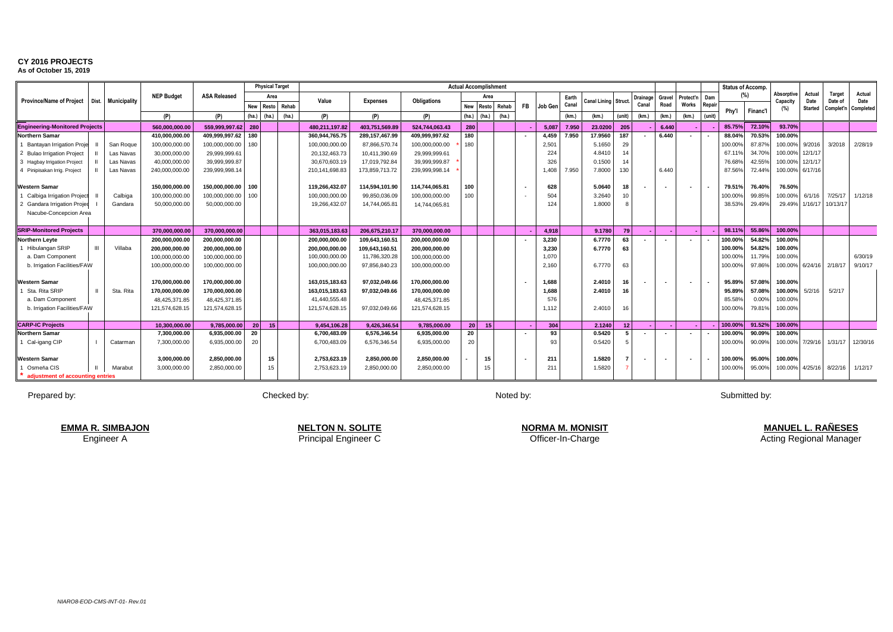**As of October 15, 2019** T/E U/F W/G

|                                       |              |                     |                   |                     |                 | <b>Physical Target</b> |       |                  |                  |                    | <b>Actual Accomplishment</b> |                 |             |           |         |       |                            |                 |          |        |                          |        | <b>Status of Accomp.</b> |          |                 |                 |               |                             |
|---------------------------------------|--------------|---------------------|-------------------|---------------------|-----------------|------------------------|-------|------------------|------------------|--------------------|------------------------------|-----------------|-------------|-----------|---------|-------|----------------------------|-----------------|----------|--------|--------------------------|--------|--------------------------|----------|-----------------|-----------------|---------------|-----------------------------|
|                                       |              |                     | <b>NEP Budget</b> | <b>ASA Released</b> |                 | Area                   |       |                  |                  |                    |                              | Area            |             |           |         | Earth |                            |                 | Drainage | Grave  | Protect'n                | Dam    | (% )                     |          | Absorptive      | Actual          | <b>Target</b> | Actual                      |
| <b>Province/Name of Project</b>       | Dist.        | <b>Municipality</b> |                   |                     | New             | Resto                  | Rehab | Value            | <b>Expenses</b>  | <b>Obligations</b> | <b>New</b>                   |                 | Resto Rehab | <b>FB</b> | Job Gen | Canal | <b>Canal Lining Struct</b> |                 | Canal    | Road   | Works                    | Repair |                          |          | Capacity<br>(%) | Date<br>Started | Date of       | Date<br>Complet'n Completed |
|                                       |              |                     | (P)               | (P)                 | (ha.)           | (ha)                   | (ha.) | (P)              | (P)              | (P)                |                              | $(ha.)$ $(ha.)$ | (ha.)       |           |         | (km)  | (km)                       | (unit)          | (km)     | (km.)  | (km)                     | (unit) | Phv'l                    | Financ'l |                 |                 |               |                             |
| <b>Engineering-Monitored Projects</b> |              |                     | 560.000.000.00    | 559.999.997.62      | 280             |                        |       | 480.211.197.82   | 403.751.569.89   | 524.744.063.43     | 280                          |                 |             |           | 5.087   | 7.950 | 23.0200                    | 205             |          | 6.440  |                          |        | 85.75%                   | 72.10%   | 93.70%          |                 |               |                             |
| <b>Northern Samar</b>                 |              |                     | 410,000,000.00    | 409,999,997.62      | 180             |                        |       | 360,944,765.75   | 289, 157, 467.99 | 409,999,997.62     | 180                          |                 |             |           | 4,459   | 7.950 | 17.9560                    | 187             |          | 6.440  | $\overline{\phantom{a}}$ |        | 88.04%                   | 70.53%   | 100.00%         |                 |               |                             |
| Bantayan Irrigation Proje             |              | San Roque           | 100,000,000.00    | 100,000,000.00      | 180             |                        |       | 100,000,000.00   | 87,866,570.74    | 100.000.000.00     | 180                          |                 |             |           | 2,501   |       | 5.1650                     | 29              |          |        |                          |        | 100.00                   | 87.87%   | 100.00%         | 9/2016          | 3/2018        | 2/28/19                     |
| 2 Bulao Irrigation Project            |              | Las Navas           | 30.000.000.00     | 29.999.999.6        |                 |                        |       | 20,132,463.73    | 10,411,390.69    | 29.999.999.61      |                              |                 |             |           | 224     |       | 4.8410                     | 14              |          |        |                          |        | 67.119                   | 34.70%   | 100.00%         | 12/1/17         |               |                             |
| 3 Hagbay Irrigation Project           |              | Las Navas           | 40.000.000.00     | 39.999.999.87       |                 |                        |       | 30,670,603.19    | 17.019.792.84    | 39.999.999.87      |                              |                 |             |           | 326     |       | 0.1500                     | 14              |          |        |                          |        | 76.68%                   | 42.55%   | 100.00%         | 12/1/1          |               |                             |
| 4 Pinipisakan Irrig. Project          |              | Las Navas           | 240,000,000.00    | 239.999.998.14      |                 |                        |       | 210, 141, 698.83 | 173,859,713.72   | 239.999.998.14     |                              |                 |             |           | 1,408   | 7.950 | 7,8000                     | 130             |          | 6.440  |                          |        | 87.56%                   | 72.44%   | 100.00%         | 6/17/16         |               |                             |
|                                       |              |                     |                   |                     |                 |                        |       |                  |                  |                    |                              |                 |             |           |         |       |                            |                 |          |        |                          |        |                          |          |                 |                 |               |                             |
| <b>Western Samar</b>                  |              |                     | 150.000.000.00    | 150.000.000.00      | 100             |                        |       | 119,266,432.07   | 114.594.101.90   | 114.744.065.81     | 100                          |                 |             |           | 628     |       | 5.0640                     | 18              |          | $\sim$ |                          |        | 79.51%                   | 76.40%   | 76.50%          |                 |               |                             |
| Calbiga Irrigation Project            |              | Calbiga             | 100,000,000.00    | 100.000.000.00      | 100             |                        |       | 100,000,000.00   | 99.850.036.09    | 100.000.000.00     | 100                          |                 |             |           | 504     |       | 3.2640                     | 10              |          |        |                          |        | 100.009                  | 99.85%   | 100.00%         | 6/1/16          | 7/25/17       | 1/12/18                     |
| 2 Gandara Irrigation Projed           |              | Gandara             | 50,000,000.00     | 50,000,000.00       |                 |                        |       | 19,266,432.07    | 14,744,065.81    | 14,744,065.81      |                              |                 |             |           | 124     |       | 1.8000                     |                 |          |        |                          |        | 38.53%                   | 29.49%   | 29.49%          | 1/16/17         | 10/13/17      |                             |
| Nacube-Concepcion Area                |              |                     |                   |                     |                 |                        |       |                  |                  |                    |                              |                 |             |           |         |       |                            |                 |          |        |                          |        |                          |          |                 |                 |               |                             |
|                                       |              |                     |                   |                     |                 |                        |       |                  |                  |                    |                              |                 |             |           |         |       |                            |                 |          |        |                          |        |                          |          |                 |                 |               |                             |
| <b>SRIP-Monitored Projects</b>        |              |                     | 370.000.000.00    | 370.000.000.00      |                 |                        |       | 363,015,183.63   | 206.675.210.17   | 370.000.000.00     |                              |                 |             |           | 4,918   |       | 9.1780                     | 79              |          |        |                          |        | 98.11%                   | 55.86%   | 100.00%         |                 |               |                             |
| <b>Northern Leyte</b>                 |              |                     | 200,000,000.00    | 200,000,000.00      |                 |                        |       | 200,000,000.00   | 109,643,160.51   | 200,000,000.00     |                              |                 |             |           | 3,230   |       | 6.7770                     | 63              |          |        |                          |        | 100.00%                  | 54.82%   | 100.00%         |                 |               |                             |
| Hibulangan SRIP                       | $\mathbf{m}$ | Villaba             | 200.000.000.00    | 200.000.000.00      |                 |                        |       | 200,000,000.00   | 109,643,160.51   | 200.000.000.00     |                              |                 |             |           | 3,230   |       | 6.7770                     | 63              |          |        |                          |        | 100.00                   | 54.82%   | 100.00%         |                 |               |                             |
| a. Dam Component                      |              |                     | 100.000.000.00    | 100.000.000.00      |                 |                        |       | 100,000,000.00   | 11,786,320.28    | 100.000.000.00     |                              |                 |             |           | 1,070   |       |                            |                 |          |        |                          |        | 100.00                   | 11.79%   | 100.00%         |                 |               | 6/30/19                     |
| b. Irrigation Facilities/FAW          |              |                     | 100,000,000.00    | 100,000,000.00      |                 |                        |       | 100,000,000.00   | 97,856,840.23    | 100,000,000.00     |                              |                 |             |           | 2,160   |       | 6,7770                     | 63              |          |        |                          |        | 100.00%                  | 97.86%   | 100.00%         | 6/24/16         | 2/18/17       | 9/10/17                     |
|                                       |              |                     |                   |                     |                 |                        |       |                  |                  |                    |                              |                 |             |           |         |       |                            |                 |          |        |                          |        |                          |          |                 |                 |               |                             |
| <b>Western Samar</b>                  |              |                     | 170.000.000.00    | 170.000.000.00      |                 |                        |       | 163,015,183.63   | 97,032,049.66    | 170.000.000.00     |                              |                 |             |           | 1,688   |       | 2.4010                     | 16              |          | $\sim$ |                          |        | 95.89%                   | 57.08%   | 100.00%         |                 |               |                             |
| Sta. Rita SRIP                        |              | Sta, Rita           | 170.000.000.00    | 170.000.000.00      |                 |                        |       | 163,015,183.63   | 97.032.049.66    | 170.000.000.00     |                              |                 |             |           | 1.688   |       | 2.4010                     | 16              |          |        |                          |        | 95.89%                   | 57.08%   | 100.00%         | 5/2/16          | 5/2/17        |                             |
| a. Dam Component                      |              |                     | 48.425.371.85     | 48.425.371.85       |                 |                        |       | 41,440,555.48    |                  | 48.425.371.85      |                              |                 |             |           | 576     |       |                            |                 |          |        |                          |        | 85.58%                   | 0.00%    | 100.00%         |                 |               |                             |
| b. Irrigation Facilities/FAW          |              |                     | 121.574.628.15    | 121,574,628.15      |                 |                        |       | 121,574,628.15   | 97.032.049.66    | 121,574,628.15     |                              |                 |             |           | 1,112   |       | 2.4010                     | 16              |          |        |                          |        | 100.00%                  | 79.81%   | 100.00%         |                 |               |                             |
|                                       |              |                     |                   |                     |                 |                        |       |                  |                  |                    |                              |                 |             |           |         |       |                            |                 |          |        |                          |        |                          |          |                 |                 |               |                             |
| <b>CARP-IC Projects</b>               |              |                     | 10.300.000.00     | 9.785.000.00        | 20 <sup>1</sup> | 15                     |       | 9.454.106.28     | 9.426.346.54     | 9.785.000.00       | 20                           | 15              |             |           | 304     |       | 2.1240                     | 12 <sub>2</sub> |          |        |                          |        | 100.00%                  | 91.52%   | 100.00%         |                 |               |                             |
| <b>Northern Samar</b>                 |              |                     | 7.300.000.00      | 6.935.000.00        | 20              |                        |       | 6,700,483.09     | 6.576.346.54     | 6.935.000.00       | 20                           |                 |             |           | 93      |       | 0.5420                     | 5.              |          | $\sim$ |                          |        | 100.00                   | 90.09%   | 100.00%         |                 |               |                             |
| 1 Cal-igang CIP                       |              | Catarman            | 7,300,000.00      | 6,935,000.00        | 20              |                        |       | 6,700,483.09     | 6,576,346.54     | 6,935,000.00       | 20                           |                 |             |           | 93      |       | 0.5420                     |                 |          |        |                          |        | 100.00%                  | 90.09%   | 100.00%         | 7/29/16         | 1/31/17       | 12/30/16                    |
|                                       |              |                     |                   |                     |                 |                        |       |                  |                  |                    |                              |                 |             |           |         |       |                            |                 |          |        |                          |        |                          |          |                 |                 |               |                             |
| Western Samar                         |              |                     | 3.000.000.00      | 2,850,000.00        |                 | 15                     |       | 2,753,623.19     | 2,850,000.00     | 2,850,000.00       |                              | 15              |             |           | 211     |       | 1.5820                     |                 |          | $\sim$ |                          |        | 100.00%                  | 95.00%   | 100.00%         |                 |               |                             |
| Osmeña CIS                            |              | Marabut             | 3,000,000.00      | 2,850,000.00        |                 | 15                     |       | 2,753,623.19     | 2,850,000.00     | 2,850,000.00       |                              | 15              |             |           | 211     |       | 1.5820                     |                 |          |        |                          |        | 100.00%                  | 95.00%   | 100.00%         | 4/25/16         | 8/22/16       | 1/12/17                     |
| adjustment of accounting entries      |              |                     |                   |                     |                 |                        |       |                  |                  |                    |                              |                 |             |           |         |       |                            |                 |          |        |                          |        |                          |          |                 |                 |               |                             |

Prepared by: Noted by: Noted by: Noted by: Noted by: Noted by: Noted by: Noted by: Noted by: Submitted by:

Engineer A Officer-In-Charge Principal Engineer C **NELTON N. SOLITE EMMA R. SIMBAJON NORMA M. MONISIT**

**MANUEL L. RAÑESES** Acting Regional Manager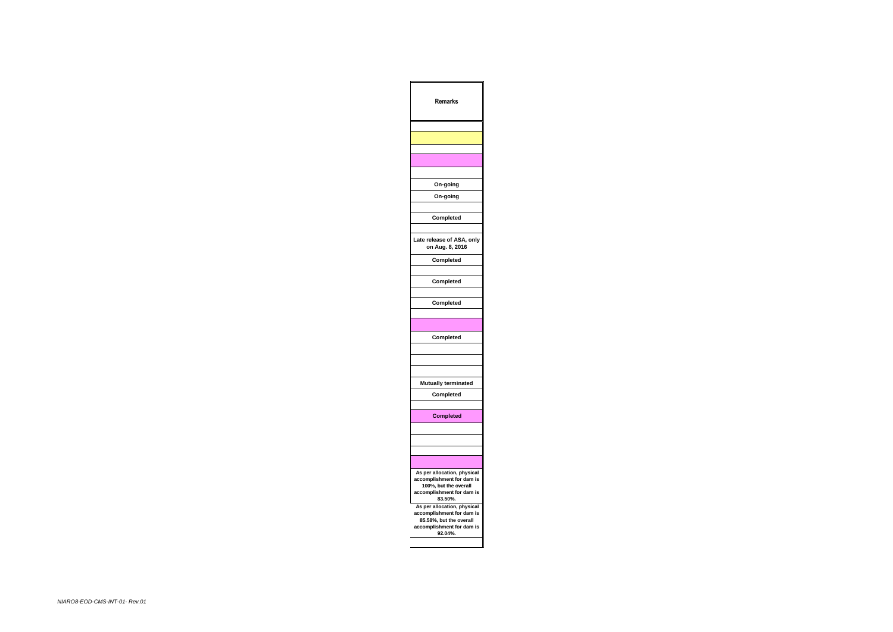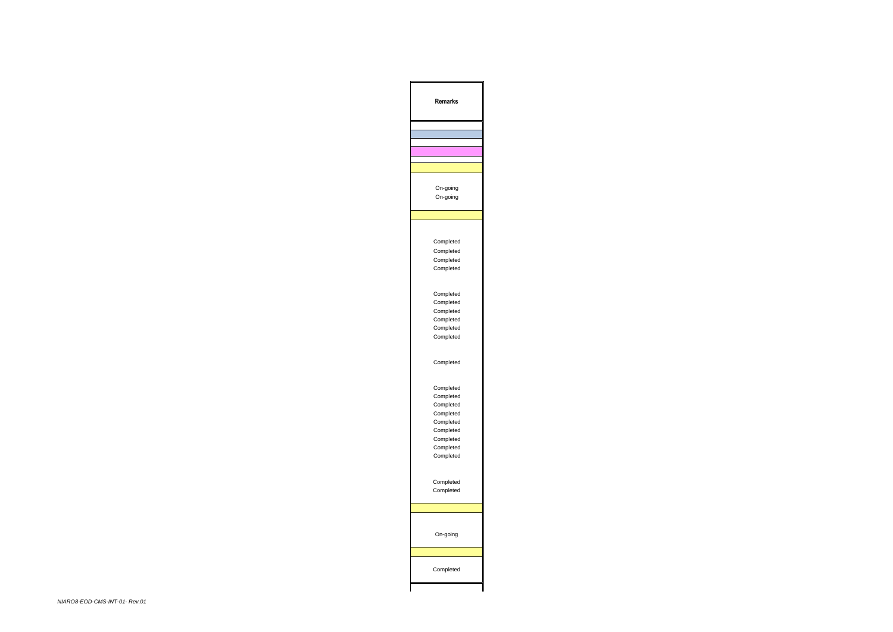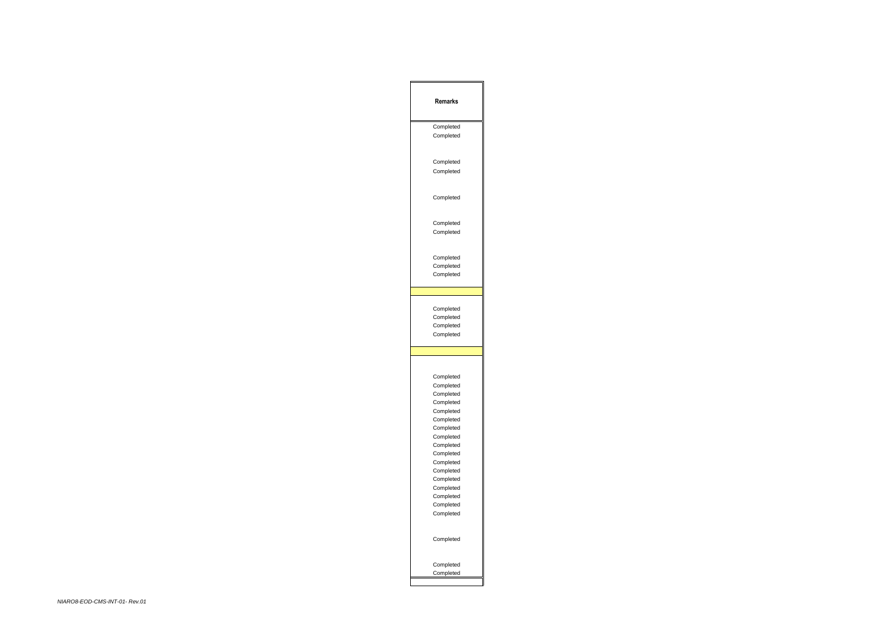| <b>Remarks</b> |
|----------------|
| Completed      |
| Completed      |
|                |
| Completed      |
| Completed      |
|                |
| Completed      |
| Completed      |
| Completed      |
| Completed      |
| Completed      |
| Completed      |
|                |
| Completed      |
| Completed      |
| Completed      |
| Completed      |
|                |
|                |
| Completed      |
| Completed      |
| Completed      |
| Completed      |
| Completed      |
| Completed      |
| Completed      |
| Completed      |
| Completed      |
| Completed      |
| Completed      |
| Completed      |
| Completed      |
| Completed      |
| Completed      |
| Completed      |
| Completed      |
| Completed      |
| Completed      |
| Completed      |
|                |